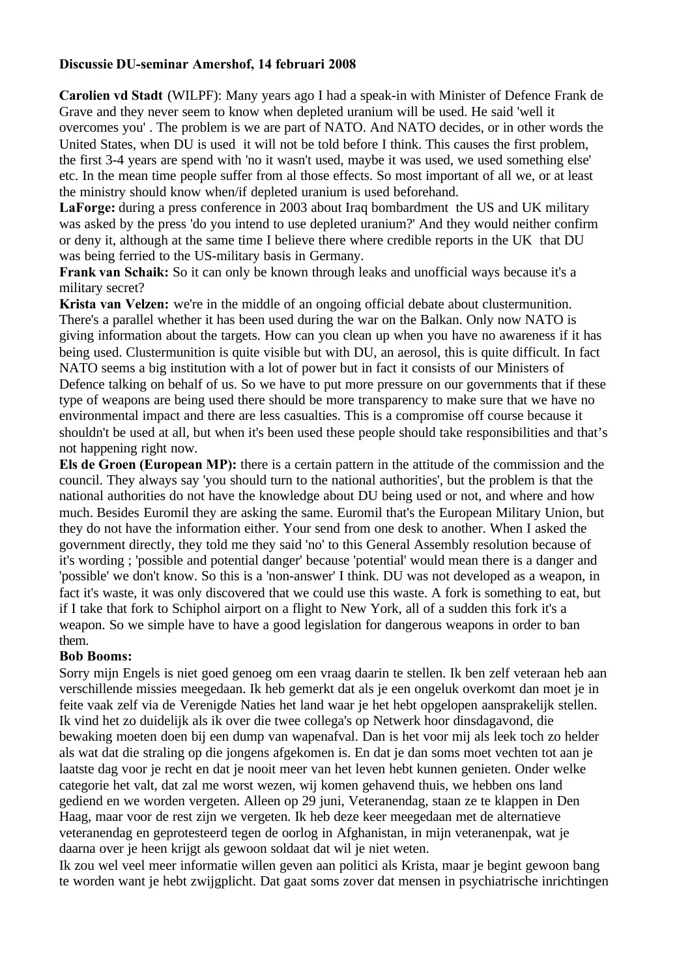#### **Discussie DU-seminar Amershof, 14 februari 2008**

**Carolien vd Stadt** (WILPF): Many years ago I had a speak-in with Minister of Defence Frank de Grave and they never seem to know when depleted uranium will be used. He said 'well it overcomes you' . The problem is we are part of NATO. And NATO decides, or in other words the United States, when DU is used it will not be told before I think. This causes the first problem, the first 3-4 years are spend with 'no it wasn't used, maybe it was used, we used something else' etc. In the mean time people suffer from al those effects. So most important of all we, or at least the ministry should know when/if depleted uranium is used beforehand.

**LaForge:** during a press conference in 2003 about Iraq bombardment the US and UK military was asked by the press 'do you intend to use depleted uranium?' And they would neither confirm or deny it, although at the same time I believe there where credible reports in the UK that DU was being ferried to the US-military basis in Germany.

**Frank van Schaik:** So it can only be known through leaks and unofficial ways because it's a military secret?

**Krista van Velzen:** we're in the middle of an ongoing official debate about clustermunition. There's a parallel whether it has been used during the war on the Balkan. Only now NATO is giving information about the targets. How can you clean up when you have no awareness if it has being used. Clustermunition is quite visible but with DU, an aerosol, this is quite difficult. In fact NATO seems a big institution with a lot of power but in fact it consists of our Ministers of Defence talking on behalf of us. So we have to put more pressure on our governments that if these type of weapons are being used there should be more transparency to make sure that we have no environmental impact and there are less casualties. This is a compromise off course because it shouldn't be used at all, but when it's been used these people should take responsibilities and that's not happening right now.

**Els de Groen (European MP):** there is a certain pattern in the attitude of the commission and the council. They always say 'you should turn to the national authorities', but the problem is that the national authorities do not have the knowledge about DU being used or not, and where and how much. Besides Euromil they are asking the same. Euromil that's the European Military Union, but they do not have the information either. Your send from one desk to another. When I asked the government directly, they told me they said 'no' to this General Assembly resolution because of it's wording ; 'possible and potential danger' because 'potential' would mean there is a danger and 'possible' we don't know. So this is a 'non-answer' I think. DU was not developed as a weapon, in fact it's waste, it was only discovered that we could use this waste. A fork is something to eat, but if I take that fork to Schiphol airport on a flight to New York, all of a sudden this fork it's a weapon. So we simple have to have a good legislation for dangerous weapons in order to ban them.

### **Bob Booms:**

Sorry mijn Engels is niet goed genoeg om een vraag daarin te stellen. Ik ben zelf veteraan heb aan verschillende missies meegedaan. Ik heb gemerkt dat als je een ongeluk overkomt dan moet je in feite vaak zelf via de Verenigde Naties het land waar je het hebt opgelopen aansprakelijk stellen. Ik vind het zo duidelijk als ik over die twee collega's op Netwerk hoor dinsdagavond, die bewaking moeten doen bij een dump van wapenafval. Dan is het voor mij als leek toch zo helder als wat dat die straling op die jongens afgekomen is. En dat je dan soms moet vechten tot aan je laatste dag voor je recht en dat je nooit meer van het leven hebt kunnen genieten. Onder welke categorie het valt, dat zal me worst wezen, wij komen gehavend thuis, we hebben ons land gediend en we worden vergeten. Alleen op 29 juni, Veteranendag, staan ze te klappen in Den Haag, maar voor de rest zijn we vergeten. Ik heb deze keer meegedaan met de alternatieve veteranendag en geprotesteerd tegen de oorlog in Afghanistan, in mijn veteranenpak, wat je daarna over je heen krijgt als gewoon soldaat dat wil je niet weten.

Ik zou wel veel meer informatie willen geven aan politici als Krista, maar je begint gewoon bang te worden want je hebt zwijgplicht. Dat gaat soms zover dat mensen in psychiatrische inrichtingen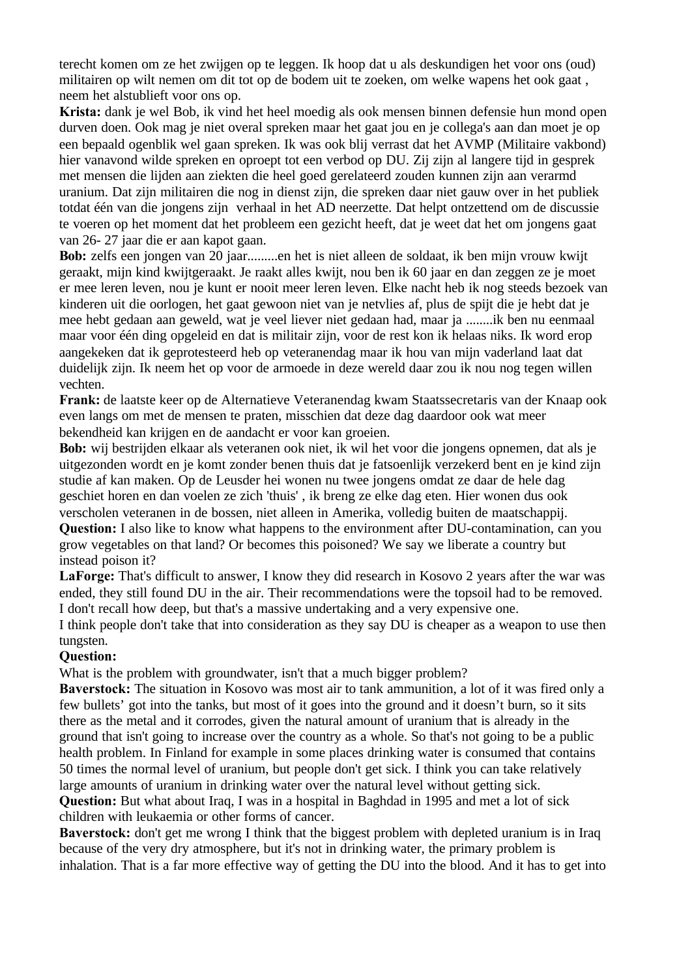terecht komen om ze het zwijgen op te leggen. Ik hoop dat u als deskundigen het voor ons (oud) militairen op wilt nemen om dit tot op de bodem uit te zoeken, om welke wapens het ook gaat , neem het alstublieft voor ons op.

**Krista:** dank je wel Bob, ik vind het heel moedig als ook mensen binnen defensie hun mond open durven doen. Ook mag je niet overal spreken maar het gaat jou en je collega's aan dan moet je op een bepaald ogenblik wel gaan spreken. Ik was ook blij verrast dat het AVMP (Militaire vakbond) hier vanavond wilde spreken en oproept tot een verbod op DU. Zij zijn al langere tijd in gesprek met mensen die lijden aan ziekten die heel goed gerelateerd zouden kunnen zijn aan verarmd uranium. Dat zijn militairen die nog in dienst zijn, die spreken daar niet gauw over in het publiek totdat één van die jongens zijn verhaal in het AD neerzette. Dat helpt ontzettend om de discussie te voeren op het moment dat het probleem een gezicht heeft, dat je weet dat het om jongens gaat van 26- 27 jaar die er aan kapot gaan.

**Bob:** zelfs een jongen van 20 jaar.........en het is niet alleen de soldaat, ik ben mijn vrouw kwijt geraakt, mijn kind kwijtgeraakt. Je raakt alles kwijt, nou ben ik 60 jaar en dan zeggen ze je moet er mee leren leven, nou je kunt er nooit meer leren leven. Elke nacht heb ik nog steeds bezoek van kinderen uit die oorlogen, het gaat gewoon niet van je netvlies af, plus de spijt die je hebt dat je mee hebt gedaan aan geweld, wat je veel liever niet gedaan had, maar ja ........ik ben nu eenmaal maar voor één ding opgeleid en dat is militair zijn, voor de rest kon ik helaas niks. Ik word erop aangekeken dat ik geprotesteerd heb op veteranendag maar ik hou van mijn vaderland laat dat duidelijk zijn. Ik neem het op voor de armoede in deze wereld daar zou ik nou nog tegen willen vechten.

**Frank:** de laatste keer op de Alternatieve Veteranendag kwam Staatssecretaris van der Knaap ook even langs om met de mensen te praten, misschien dat deze dag daardoor ook wat meer bekendheid kan krijgen en de aandacht er voor kan groeien.

**Bob:** wij bestrijden elkaar als veteranen ook niet, ik wil het voor die jongens opnemen, dat als je uitgezonden wordt en je komt zonder benen thuis dat je fatsoenlijk verzekerd bent en je kind zijn studie af kan maken. Op de Leusder hei wonen nu twee jongens omdat ze daar de hele dag geschiet horen en dan voelen ze zich 'thuis' , ik breng ze elke dag eten. Hier wonen dus ook verscholen veteranen in de bossen, niet alleen in Amerika, volledig buiten de maatschappij.

**Question:** I also like to know what happens to the environment after DU-contamination, can you grow vegetables on that land? Or becomes this poisoned? We say we liberate a country but instead poison it?

LaForge: That's difficult to answer, I know they did research in Kosovo 2 years after the war was ended, they still found DU in the air. Their recommendations were the topsoil had to be removed. I don't recall how deep, but that's a massive undertaking and a very expensive one.

I think people don't take that into consideration as they say DU is cheaper as a weapon to use then tungsten.

### **Question:**

What is the problem with groundwater, isn't that a much bigger problem?

**Baverstock:** The situation in Kosovo was most air to tank ammunition, a lot of it was fired only a few bullets' got into the tanks, but most of it goes into the ground and it doesn't burn, so it sits there as the metal and it corrodes, given the natural amount of uranium that is already in the ground that isn't going to increase over the country as a whole. So that's not going to be a public health problem. In Finland for example in some places drinking water is consumed that contains 50 times the normal level of uranium, but people don't get sick. I think you can take relatively large amounts of uranium in drinking water over the natural level without getting sick. **Question:** But what about Iraq, I was in a hospital in Baghdad in 1995 and met a lot of sick

children with leukaemia or other forms of cancer.

**Baverstock:** don't get me wrong I think that the biggest problem with depleted uranium is in Iraq because of the very dry atmosphere, but it's not in drinking water, the primary problem is inhalation. That is a far more effective way of getting the DU into the blood. And it has to get into